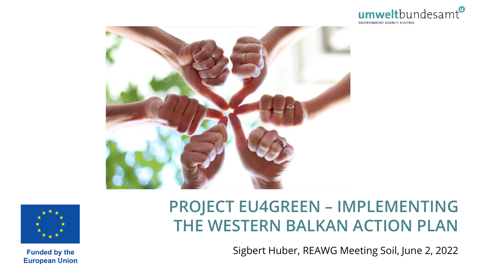





## **PROJECT EU4GREEN – IMPLEMENTING THE WESTERN BALKAN ACTION PLAN**

Sigbert Huber, REAWG Meeting Soil, June 2, 2022

**Funded by the European Union**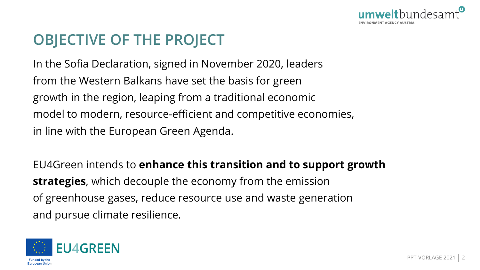

## **OBJECTIVE OF THE PROJECT**

In the Sofia Declaration, signed in November 2020, leaders from the Western Balkans have set the basis for green growth in the region, leaping from a traditional economic model to modern, resource-efficient and competitive economies, in line with the European Green Agenda.

EU4Green intends to **enhance this transition and to support growth strategies**, which decouple the economy from the emission of greenhouse gases, reduce resource use and waste generation and pursue climate resilience.

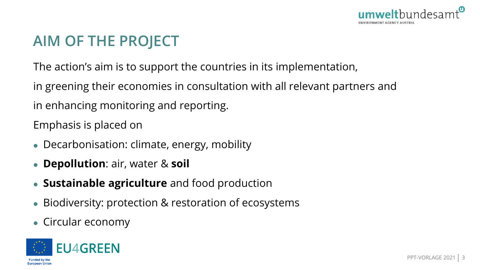

## **AIM OF THE PROJECT**

The action's aim is to support the countries in its implementation,

in greening their economies in consultation with all relevant partners and

in enhancing monitoring and reporting.

Emphasis is placed on

- Decarbonisation: climate, energy, mobility
- **Depollution**: air, water & **soil**
- **Sustainable agriculture** and food production
- Biodiversity: protection & restoration of ecosystems
- Circular economy

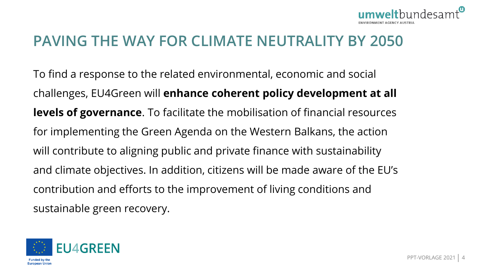

#### **PAVING THE WAY FOR CLIMATE NEUTRALITY BY 2050**

To find a response to the related environmental, economic and social challenges, EU4Green will **enhance coherent policy development at all levels of governance**. To facilitate the mobilisation of financial resources for implementing the Green Agenda on the Western Balkans, the action will contribute to aligning public and private finance with sustainability and climate objectives. In addition, citizens will be made aware of the EU's contribution and efforts to the improvement of living conditions and sustainable green recovery.

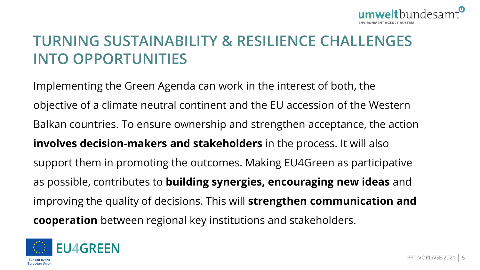

## **TURNING SUSTAINABILITY & RESILIENCE CHALLENGES INTO OPPORTUNITIES**

Implementing the Green Agenda can work in the interest of both, the objective of a climate neutral continent and the EU accession of the Western Balkan countries. To ensure ownership and strengthen acceptance, the action **involves decision-makers and stakeholders** in the process. It will also support them in promoting the outcomes. Making EU4Green as participative as possible, contributes to **building synergies, encouraging new ideas** and improving the quality of decisions. This will **strengthen communication and cooperation** between regional key institutions and stakeholders.

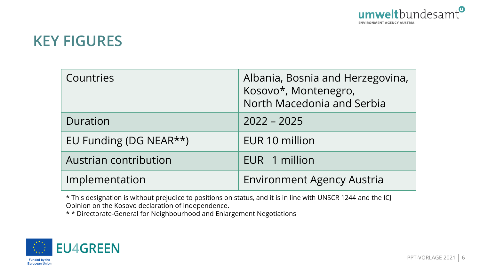

#### **KEY FIGURES**

| Countries              | Albania, Bosnia and Herzegovina,<br>Kosovo*, Montenegro, |
|------------------------|----------------------------------------------------------|
|                        | North Macedonia and Serbia                               |
| Duration               | $2022 - 2025$                                            |
| EU Funding (DG NEAR**) | EUR 10 million                                           |
| Austrian contribution  | EUR 1 million                                            |
| Implementation         | <b>Environment Agency Austria</b>                        |

\* This designation is without prejudice to positions on status, and it is in line with UNSCR 1244 and the ICJ Opinion on the Kosovo declaration of independence.

\* \* Directorate-General for Neighbourhood and Enlargement Negotiations

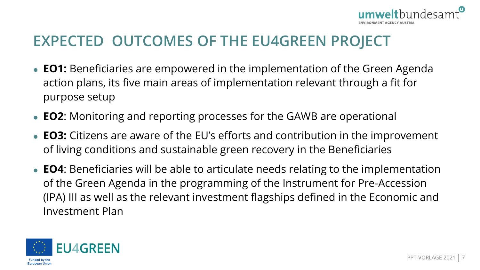

## **EXPECTED OUTCOMES OF THE EU4GREEN PROJECT**

- **EO1:** Beneficiaries are empowered in the implementation of the Green Agenda action plans, its five main areas of implementation relevant through a fit for purpose setup
- **EO2**: Monitoring and reporting processes for the GAWB are operational
- **EO3:** Citizens are aware of the EU's efforts and contribution in the improvement of living conditions and sustainable green recovery in the Beneficiaries
- **EO4**: Beneficiaries will be able to articulate needs relating to the implementation of the Green Agenda in the programming of the Instrument for Pre-Accession (IPA) III as well as the relevant investment flagships defined in the Economic and Investment Plan

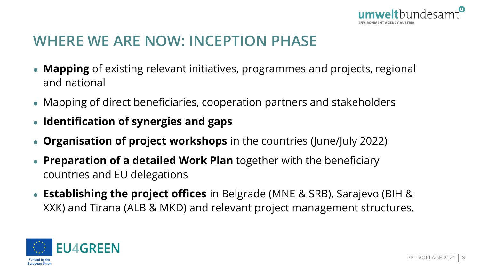

## **WHERE WE ARE NOW: INCEPTION PHASE**

- **Mapping** of existing relevant initiatives, programmes and projects, regional and national
- Mapping of direct beneficiaries, cooperation partners and stakeholders
- **Identification of synergies and gaps**
- **Organisation of project workshops** in the countries (June/July 2022)
- **Preparation of a detailed Work Plan** together with the beneficiary countries and EU delegations
- **Establishing the project offices** in Belgrade (MNE & SRB), Sarajevo (BIH & XXK) and Tirana (ALB & MKD) and relevant project management structures.

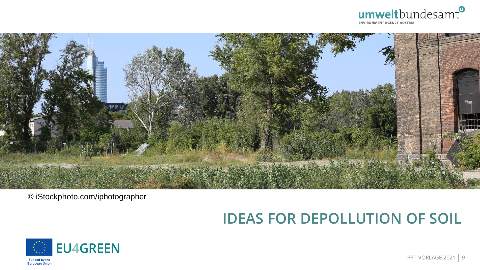



© iStockphoto.com/iphotographer

## **IDEAS FOR DEPOLLUTION OF SOIL**



PPT-VORLAGE 2021 | 9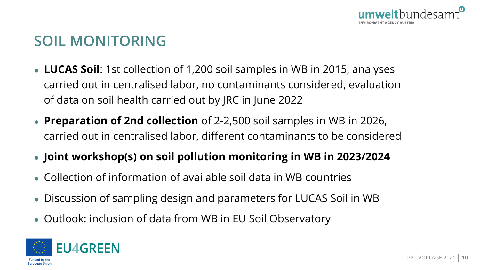

### **SOIL MONITORING**

- **LUCAS Soil**: 1st collection of 1,200 soil samples in WB in 2015, analyses carried out in centralised labor, no contaminants considered, evaluation of data on soil health carried out by JRC in June 2022
- **Preparation of 2nd collection** of 2-2,500 soil samples in WB in 2026, carried out in centralised labor, different contaminants to be considered
- **Joint workshop(s) on soil pollution monitoring in WB in 2023/2024**
- Collection of information of available soil data in WB countries
- Discussion of sampling design and parameters for LUCAS Soil in WB
- Outlook: inclusion of data from WB in EU Soil Observatory

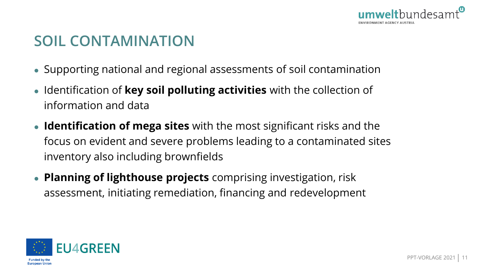

## **SOIL CONTAMINATION**

- Supporting national and regional assessments of soil contamination
- Identification of **key soil polluting activities** with the collection of information and data
- **Identification of mega sites** with the most significant risks and the focus on evident and severe problems leading to a contaminated sites inventory also including brownfields
- **Planning of lighthouse projects** comprising investigation, risk assessment, initiating remediation, financing and redevelopment

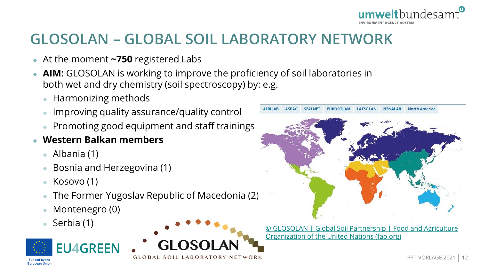

## **GLOSOLAN – GLOBAL SOIL LABORATORY NETWORK**

- At the moment **~750** registered Labs
- **AIM**: GLOSOLAN is working to improve the proficiency of soil laboratories in both wet and dry chemistry (soil spectroscopy) by: e.g.

GLOBAL SOIL LABORATORY NETWORK

- Harmonizing methods
- **Improving quality assurance/quality control**
- Promoting good equipment and staff trainings
- **Western Balkan members**
	- Albania (1)
	- Bosnia and Herzegovina (1)
	- Kosovo (1)
	- The Former Yugoslav Republic of Macedonia (2)
	- Montenegro (0)
	-



**European Union** 



 Serbia (1) © GLOSOLAN <sup>|</sup> Global Soil Partnership <sup>|</sup> Food and Agriculture [Organization of the United Nations \(fao.org\)](https://www.fao.org/global-soil-partnership/glosolan/en/)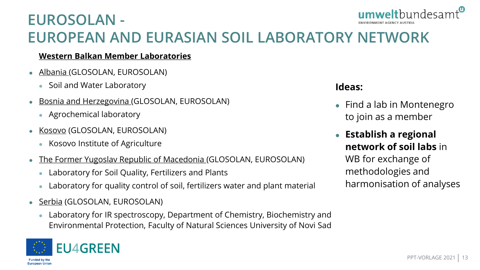#### umwelthundesam **EUROSOLAN - ENVIRONMENT AGENCY AUSTRIA EUROPEAN AND EURASIAN SOIL LABORATORY NETWORK**

#### **Western Balkan Member Laboratories**

- Albania (GLOSOLAN, EUROSOLAN)
	- Soil and Water Laboratory
- **Bosnia and Herzegovina (GLOSOLAN, EUROSOLAN)** 
	- Agrochemical laboratory
- **Kosovo (GLOSOLAN, EUROSOLAN)** 
	- Kosovo Institute of Agriculture
- The Former Yugoslav Republic of Macedonia (GLOSOLAN, EUROSOLAN)
	- Laboratory for Soil Quality, Fertilizers and Plants
	- Laboratory for quality control of soil, fertilizers water and plant material
- Serbia (GLOSOLAN, EUROSOLAN)
	- Laboratory for IR spectroscopy, Department of Chemistry, Biochemistry and Environmental Protection, Faculty of Natural Sciences University of Novi Sad



#### **Ideas:**

- Find a lab in Montenegro to join as a member
- **Establish a regional network of soil labs** in

WB for exchange of methodologies and harmonisation of analyses